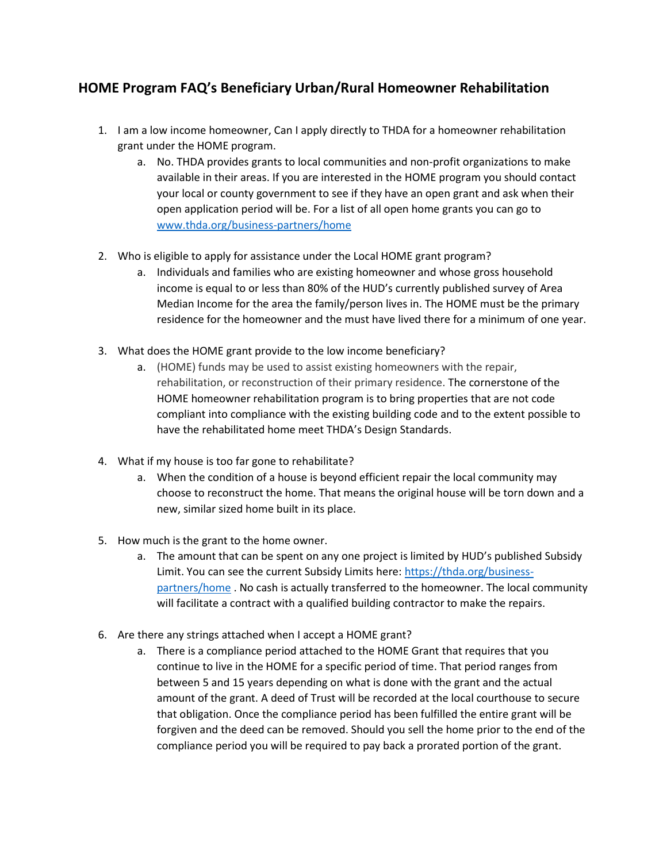## **HOME Program FAQ's Beneficiary Urban/Rural Homeowner Rehabilitation**

- 1. I am a low income homeowner, Can I apply directly to THDA for a homeowner rehabilitation grant under the HOME program.
	- a. No. THDA provides grants to local communities and non-profit organizations to make available in their areas. If you are interested in the HOME program you should contact your local or county government to see if they have an open grant and ask when their open application period will be. For a list of all open home grants you can go to [www.thda.org/business-partners/home](http://www.thda.org/business-partners/home)
- 2. Who is eligible to apply for assistance under the Local HOME grant program?
	- a. Individuals and families who are existing homeowner and whose gross household income is equal to or less than 80% of the HUD's currently published survey of Area Median Income for the area the family/person lives in. The HOME must be the primary residence for the homeowner and the must have lived there for a minimum of one year.
- 3. What does the HOME grant provide to the low income beneficiary?
	- a. (HOME) funds may be used to assist existing homeowners with the repair, rehabilitation, or reconstruction of their primary residence. The cornerstone of the HOME homeowner rehabilitation program is to bring properties that are not code compliant into compliance with the existing building code and to the extent possible to have the rehabilitated home meet THDA's Design Standards.
- 4. What if my house is too far gone to rehabilitate?
	- a. When the condition of a house is beyond efficient repair the local community may choose to reconstruct the home. That means the original house will be torn down and a new, similar sized home built in its place.
- 5. How much is the grant to the home owner.
	- a. The amount that can be spent on any one project is limited by HUD's published Subsidy Limit. You can see the current Subsidy Limits here: [https://thda.org/business](https://thda.org/business-partners/home)[partners/home](https://thda.org/business-partners/home) . No cash is actually transferred to the homeowner. The local community will facilitate a contract with a qualified building contractor to make the repairs.
- 6. Are there any strings attached when I accept a HOME grant?
	- a. There is a compliance period attached to the HOME Grant that requires that you continue to live in the HOME for a specific period of time. That period ranges from between 5 and 15 years depending on what is done with the grant and the actual amount of the grant. A deed of Trust will be recorded at the local courthouse to secure that obligation. Once the compliance period has been fulfilled the entire grant will be forgiven and the deed can be removed. Should you sell the home prior to the end of the compliance period you will be required to pay back a prorated portion of the grant.